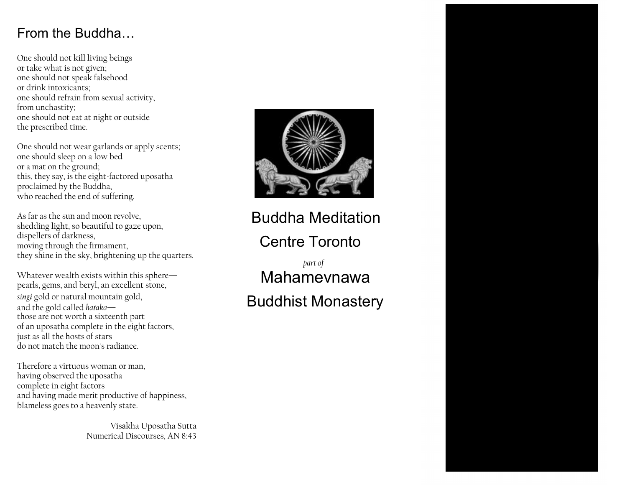## From the Buddha…

One should not kill living beings or take what is not given; one should not speak falsehood or drink intoxicants; one should refrain from sexual activity, from unchastity; one should not eat at night or outside the prescribed time.

One should not wear garlands or apply scents; one should sleep on a low bed or a mat on the ground; this, they say, is the eight-factored uposatha proclaimed by the Buddha, who reached the end of suffering.

As far as the sun and moon revolve, shedding light, so beautiful to gaze upon, dispellers of darkness, moving through the firmament, they shine in the sky, brightening up the quarters.

Whatever wealth exists within this sphere pearls, gems, and beryl, an excellent stone, *singi* gold or natural mountain gold, and the gold called *hataka* those are not worth a sixteenth part of an uposatha complete in the eight factors, just as all the hosts of stars do not match the moon's radiance.

Therefore a virtuous woman or man, having observed the uposatha complete in eight factors and having made merit productive of happiness, blameless goes to a heavenly state.

> Numerical Discourses, AN 8:43 Visakha Uposatha Sutta



# Buddha Meditation Centre Toronto

*part of* Mahamevnawa Buddhist Monastery